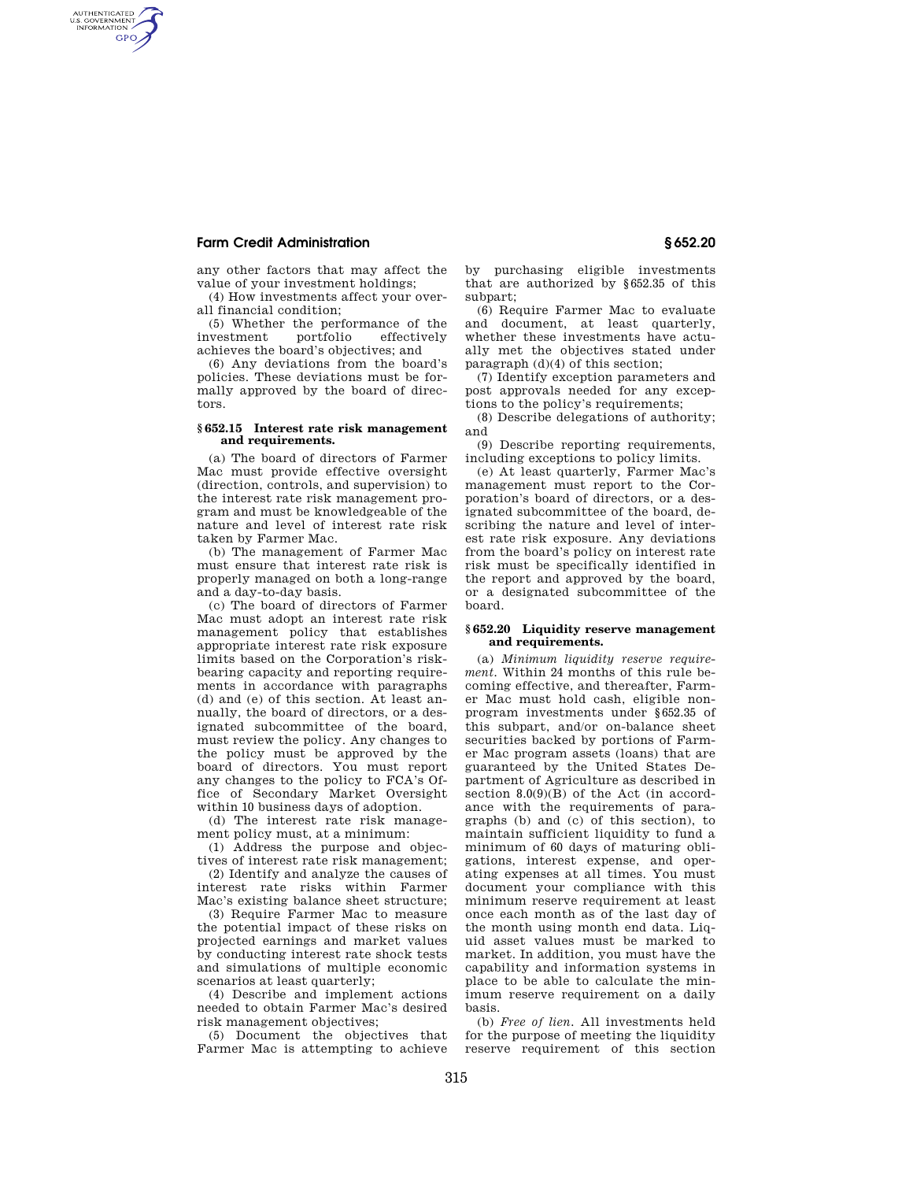# **Farm Credit Administration § 652.20**

AUTHENTICATED<br>U.S. GOVERNMENT<br>INFORMATION **GPO** 

> any other factors that may affect the value of your investment holdings;

> (4) How investments affect your overall financial condition;

> (5) Whether the performance of the investment portfolio effectively achieves the board's objectives; and

> (6) Any deviations from the board's policies. These deviations must be formally approved by the board of directors.

# **§ 652.15 Interest rate risk management and requirements.**

(a) The board of directors of Farmer Mac must provide effective oversight (direction, controls, and supervision) to the interest rate risk management program and must be knowledgeable of the nature and level of interest rate risk taken by Farmer Mac.

(b) The management of Farmer Mac must ensure that interest rate risk is properly managed on both a long-range and a day-to-day basis.

(c) The board of directors of Farmer Mac must adopt an interest rate risk management policy that establishes appropriate interest rate risk exposure limits based on the Corporation's riskbearing capacity and reporting requirements in accordance with paragraphs (d) and (e) of this section. At least annually, the board of directors, or a designated subcommittee of the board, must review the policy. Any changes to the policy must be approved by the board of directors. You must report any changes to the policy to FCA's Office of Secondary Market Oversight within 10 business days of adoption.

(d) The interest rate risk management policy must, at a minimum:

(1) Address the purpose and objectives of interest rate risk management;

(2) Identify and analyze the causes of interest rate risks within Farmer Mac's existing balance sheet structure;

(3) Require Farmer Mac to measure the potential impact of these risks on projected earnings and market values by conducting interest rate shock tests and simulations of multiple economic scenarios at least quarterly;

(4) Describe and implement actions needed to obtain Farmer Mac's desired risk management objectives;

(5) Document the objectives that Farmer Mac is attempting to achieve by purchasing eligible investments that are authorized by §652.35 of this subpart;

(6) Require Farmer Mac to evaluate and document, at least quarterly, whether these investments have actually met the objectives stated under paragraph (d)(4) of this section;

(7) Identify exception parameters and post approvals needed for any exceptions to the policy's requirements;

(8) Describe delegations of authority; and

(9) Describe reporting requirements, including exceptions to policy limits.

(e) At least quarterly, Farmer Mac's management must report to the Corporation's board of directors, or a designated subcommittee of the board, describing the nature and level of interest rate risk exposure. Any deviations from the board's policy on interest rate risk must be specifically identified in the report and approved by the board, or a designated subcommittee of the board.

### **§ 652.20 Liquidity reserve management and requirements.**

(a) *Minimum liquidity reserve requirement.* Within 24 months of this rule becoming effective, and thereafter, Farmer Mac must hold cash, eligible nonprogram investments under §652.35 of this subpart, and/or on-balance sheet securities backed by portions of Farmer Mac program assets (loans) that are guaranteed by the United States Department of Agriculture as described in section 8.0(9)(B) of the Act (in accordance with the requirements of paragraphs (b) and (c) of this section), to maintain sufficient liquidity to fund a minimum of 60 days of maturing obligations, interest expense, and operating expenses at all times. You must document your compliance with this minimum reserve requirement at least once each month as of the last day of the month using month end data. Liquid asset values must be marked to market. In addition, you must have the capability and information systems in place to be able to calculate the minimum reserve requirement on a daily basis.

(b) *Free of lien.* All investments held for the purpose of meeting the liquidity reserve requirement of this section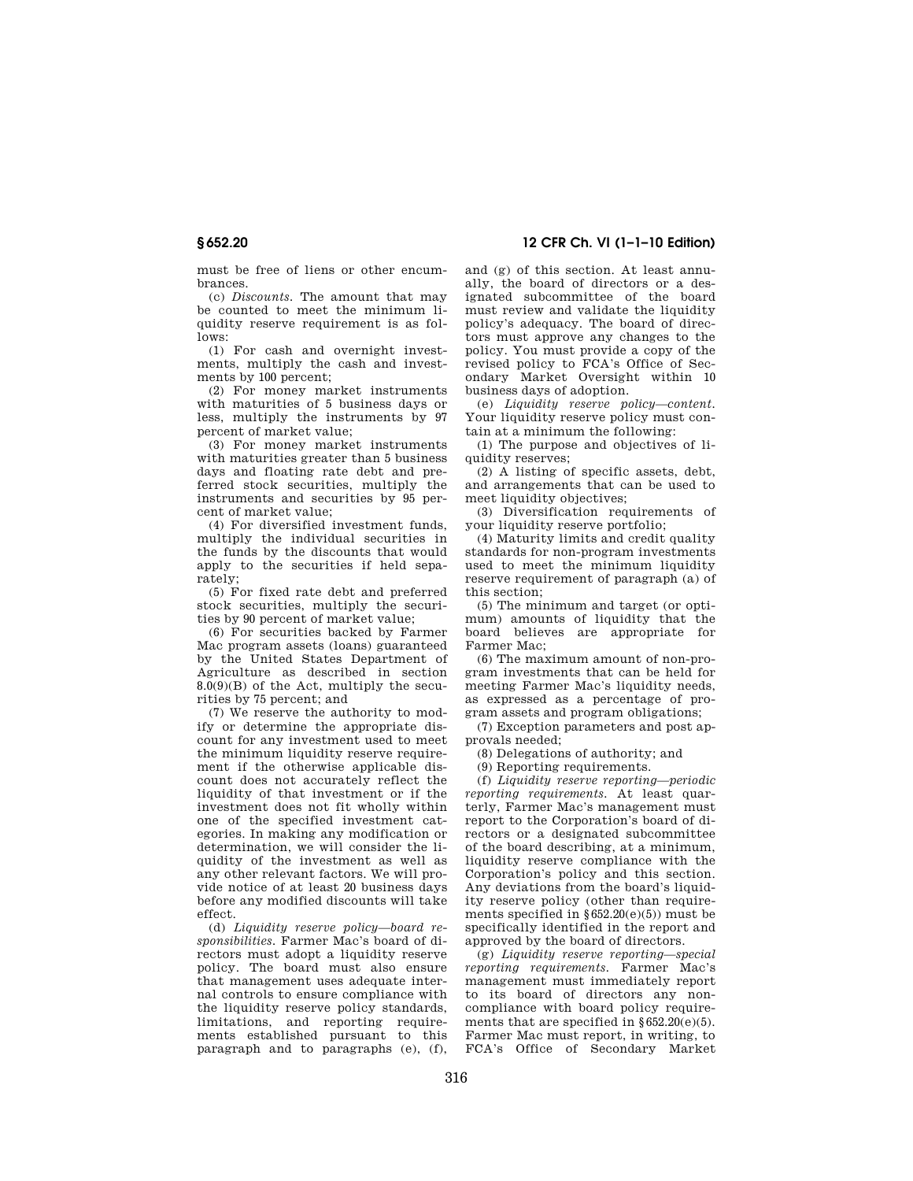**§ 652.20 12 CFR Ch. VI (1–1–10 Edition)** 

must be free of liens or other encumbrances.

(c) *Discounts.* The amount that may be counted to meet the minimum liquidity reserve requirement is as follows:

(1) For cash and overnight investments, multiply the cash and investments by 100 percent;

(2) For money market instruments with maturities of 5 business days or less, multiply the instruments by 97 percent of market value;

(3) For money market instruments with maturities greater than 5 business days and floating rate debt and preferred stock securities, multiply the instruments and securities by 95 percent of market value;

(4) For diversified investment funds, multiply the individual securities in the funds by the discounts that would apply to the securities if held separately;

(5) For fixed rate debt and preferred stock securities, multiply the securities by 90 percent of market value;

(6) For securities backed by Farmer Mac program assets (loans) guaranteed by the United States Department of Agriculture as described in section  $8.0(9)(B)$  of the Act, multiply the securities by 75 percent; and

(7) We reserve the authority to modify or determine the appropriate discount for any investment used to meet the minimum liquidity reserve requirement if the otherwise applicable discount does not accurately reflect the liquidity of that investment or if the investment does not fit wholly within one of the specified investment categories. In making any modification or determination, we will consider the liquidity of the investment as well as any other relevant factors. We will provide notice of at least 20 business days before any modified discounts will take effect.

(d) *Liquidity reserve policy—board responsibilities.* Farmer Mac's board of directors must adopt a liquidity reserve policy. The board must also ensure that management uses adequate internal controls to ensure compliance with the liquidity reserve policy standards, limitations, and reporting requirements established pursuant to this paragraph and to paragraphs (e), (f), and (g) of this section. At least annually, the board of directors or a designated subcommittee of the board must review and validate the liquidity policy's adequacy. The board of directors must approve any changes to the policy. You must provide a copy of the revised policy to FCA's Office of Secondary Market Oversight within 10 business days of adoption.

(e) *Liquidity reserve policy—content.*  Your liquidity reserve policy must contain at a minimum the following:

(1) The purpose and objectives of liquidity reserves;

(2) A listing of specific assets, debt, and arrangements that can be used to meet liquidity objectives;

(3) Diversification requirements of your liquidity reserve portfolio;

(4) Maturity limits and credit quality standards for non-program investments used to meet the minimum liquidity reserve requirement of paragraph (a) of this section;

(5) The minimum and target (or optimum) amounts of liquidity that the board believes are appropriate for Farmer Mac;

(6) The maximum amount of non-program investments that can be held for meeting Farmer Mac's liquidity needs, as expressed as a percentage of program assets and program obligations;

(7) Exception parameters and post approvals needed;

(8) Delegations of authority; and

(9) Reporting requirements.

(f) *Liquidity reserve reporting—periodic reporting requirements.* At least quarterly, Farmer Mac's management must report to the Corporation's board of directors or a designated subcommittee of the board describing, at a minimum, liquidity reserve compliance with the Corporation's policy and this section. Any deviations from the board's liquidity reserve policy (other than requirements specified in §652.20(e)(5)) must be specifically identified in the report and approved by the board of directors.

(g) *Liquidity reserve reporting—special reporting requirements.* Farmer Mac's management must immediately report to its board of directors any noncompliance with board policy requirements that are specified in  $§652.20(e)(5)$ . Farmer Mac must report, in writing, to FCA's Office of Secondary Market